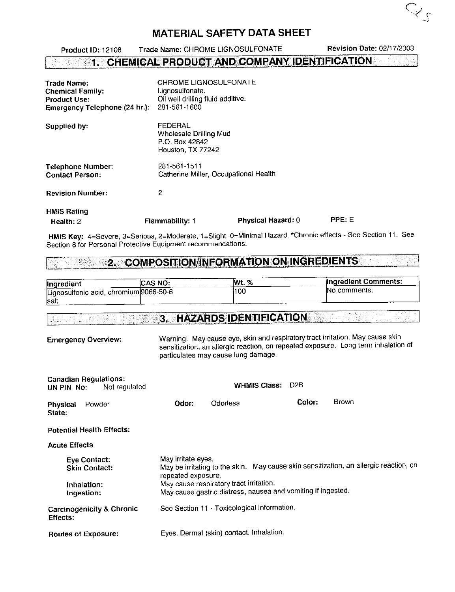Trade Name: CHROME LIGNOSULFONATE Revision Date: 02/17/2003 Product lD: 12108 1. CHEMICAL PRODUCT AND COMPANY IDENTIFICATION - 소재대표 id 사진 : 2 Ŵ. CHROME LIGNOSULFONATE Trade Name:

 $Q_{c}$ 

| <b>Chemical Family:</b><br><b>Product Use:</b><br>Emergency Telephone (24 hr.): | Lignosulfonate.<br>Oil well drilling fluid additive.<br>281-561-1600     |                    |        |  |
|---------------------------------------------------------------------------------|--------------------------------------------------------------------------|--------------------|--------|--|
| Supplied by:                                                                    | FEDERAL<br>Wholesale Drilling Mud<br>P.O. Box 42842<br>Houston, TX 77242 |                    |        |  |
| <b>Telephone Number:</b><br><b>Contact Person:</b>                              | 281-561-1511<br>Catherine Miller, Occupational Health                    |                    |        |  |
| <b>Revision Number:</b>                                                         | 2                                                                        |                    |        |  |
| <b>HMIS Rating</b><br>Health: $2$                                               | <b>Flammability: 1</b>                                                   | Physical Hazard: 0 | PPE: E |  |

HMIS Key: 4=Severe, 3=Serious, 2=Moderate, 1=Slight, 0=Minimal Hazard. \*Chronic effects - See Section 11. See Section 8 for Personal Protective Equipment recommendations.

#### **COMPOSITION/INFORMATION ON INGREDIENTS** 2. . en Alberta

| <b>Ingredient</b>                      | <b>CAS NO:</b> | %<br>lWt. | Ingredient Comments: |
|----------------------------------------|----------------|-----------|----------------------|
| Lignosulfonic acid, chromium 9066-50-6 |                | 100       | INo comments.        |
| Isall                                  |                |           |                      |

#### **3. HAZARDS IDENTIFICATION & JANE SERIES**

| <b>Emergency Overview:</b>                                  | Warning! May cause eye, skin and respiratory tract irritation. May cause skin<br>sensitization, an allergic reaction, on repeated exposure. Long term inhalation of<br>particulates may cause lung damage. |                                          |        |                                                                                       |
|-------------------------------------------------------------|------------------------------------------------------------------------------------------------------------------------------------------------------------------------------------------------------------|------------------------------------------|--------|---------------------------------------------------------------------------------------|
| <b>Canadian Regulations:</b><br>Not regulated<br>UN PIN No: |                                                                                                                                                                                                            | <b>WHMIS Class:</b>                      | D2B    |                                                                                       |
| Powder<br>Physical<br>State:                                | Odor:                                                                                                                                                                                                      | Odorless                                 | Color: | <b>Brown</b>                                                                          |
| <b>Potential Health Effects:</b>                            |                                                                                                                                                                                                            |                                          |        |                                                                                       |
| <b>Acute Effects</b>                                        |                                                                                                                                                                                                            |                                          |        |                                                                                       |
| Eye Contact:<br><b>Skin Contact:</b>                        | May irritate eyes.<br>repeated exposure.                                                                                                                                                                   |                                          |        | May be irritating to the skin. May cause skin sensitization, an allergic reaction, on |
| Inhalation:<br>Ingestion:                                   | May cause respiratory tract irritation.<br>May cause gastric distress, nausea and vomiting if ingested.                                                                                                    |                                          |        |                                                                                       |
| <b>Carcinogenicity &amp; Chronic</b><br>Effects:            | See Section 11 - Toxicological Information.                                                                                                                                                                |                                          |        |                                                                                       |
| <b>Routes of Exposure:</b>                                  |                                                                                                                                                                                                            | Eyes. Dermal (skin) contact. Inhalation. |        |                                                                                       |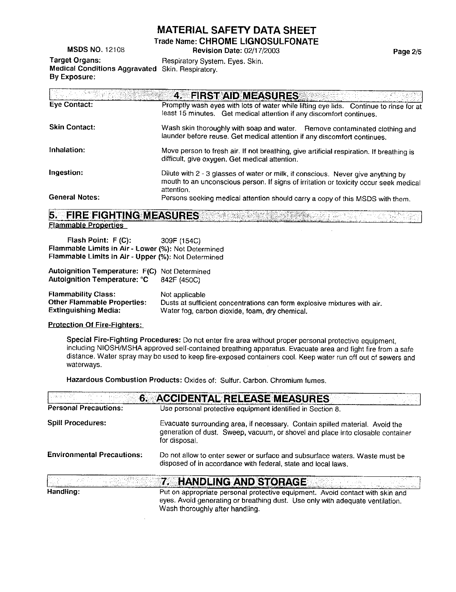rrade Name: CHROME LIGNOSULFONATE

MSDS NO. 12108 Revision Date: 02/17/2003

Target Organs: Respiratory System. Eyes. Skin. Medical Conditions Aggravated Skin. Respiratory. By Exposure;

 $4 -$ **FIRST AID MEASURES** Eye Contact: Promptly wash eyes with lots of water while lifting eye lids. Continue to rinse for at least 15 minutes. Get medical attention if any discomtort continues. Skin Contact: Wash skin thoroughly with soap and water. Remove contaminated clothing and launder betore reuse. Get medical attention if any discomfort continues. Inhalation: Move person to fresh air. lf not breathing, give artificial respiration. lf breathing is difficult, give oxygen. Get medical attention. Ingestion: Dilute with 2 - 3 glasses of water or milk, if conscious. Never give anything by mouth to an unconscious person. lf signs of irritation or toxicity occur seek medical attention. General Notes: Persons seeking medical attention should carry a copy of this MSDS with them.

**FIRE FIGHTING MEASURES** 5. international companies and the contract of the contract of the contract of the contract of the contract of th **Flammable Properties** 

Flash Point: F (C): 309F (154C) Flammable Limits in Air - Lower (%): Not Determined Flammable Limits in Air - Upper (%): Not Determined

Autoignition Temperature: F(C) Not Determined Autoignition Temperature: °C 842F (450C)

Flammability Class: Not applicable<br>Other Flammable Properties: Dusts at suffici Other Flammable Properties: Dusts at sufficient concentrations can form explosive mixtures with air.<br>Extinguishing Media: Water fog. carbon dioxide, foam, dry chemical Water fog, carbon dioxide, foam, dry chemical.

#### Protection Of Fire-Fighters:

Handling:

Special Fire-Fighting Procedures: Do not enter fire area without proper personal protective equipment, including NIOSH/MSHA approved self-contained breathing apparatus. Evacuate area and fight fire from a safe distance. Water spray may be used to keep fire-exposed containers cool. Keep water run off out of sewers and waterways.

Hazardous Combustion Products: Oxides of; Sulfur. Carbon. Chromium fumes.

| $-6 -$                            | <b>ACCIDENTAL RELEASE MEASURES</b>                                                                                                                                              |
|-----------------------------------|---------------------------------------------------------------------------------------------------------------------------------------------------------------------------------|
| <b>Personal Precautions:</b>      | Use personal protective equipment identified in Section 8.                                                                                                                      |
| <b>Spill Procedures:</b>          | Evacuate surrounding area, if necessary. Contain spilled material. Avoid the<br>generation of dust. Sweep, vacuum, or shovel and place into closable container<br>for disposal. |
| <b>Environmental Precautions:</b> | Do not allow to enter sewer or surface and subsurface waters. Waste must be<br>disposed of in accordance with federal, state and local laws.                                    |
|                                   | 7. HANDLING AND STORAGE                                                                                                                                                         |

Put on appropriate personal protective equipment. Avoid contact with skin and eyes. Avoid generating or breathing dust. Use only with adequate ventilation. Wash thoroughly after handling.

Page 2/5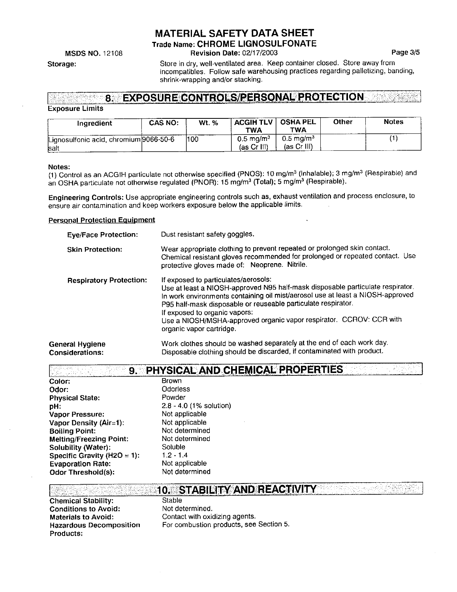rrade Name: CHROME LIGNOSULFONATE

**MSDS NO. 12108** 

Storage:

Revision Date: 02/17/2003 Page 3/5

Store in dry, well-ventilated area. Keep container closed. Store away trom incompatibles. Follow safe warehousing practices regarding palletizing, banding, shrink-wrapping and/or stacking.

#### 8. EXPOSURE CONTROLS/PERSONAL PROTECTION him katalik

#### **Exposure Limits**

| Ingredient                                      | <b>CAS NO:</b> | <b>Wt.</b> % | ACGIH TLV   OSHA PEL<br>TWA         | TWA                                   | Other | <b>Notes</b> |
|-------------------------------------------------|----------------|--------------|-------------------------------------|---------------------------------------|-------|--------------|
| Lignosulfonic acid, chromium 9066-50-6<br>lsalt |                | 100          | $0.5 \text{ mg/m}^3$<br>(as Cr III) | $0.5~{\rm m}$ g/m $^3$<br>(as Cr III) |       |              |

#### Notes:

(1) Control as an ACGIH particulate not otherwise specified (PNOS): 10 mg/m<sup>3</sup> (Inhalable); 3 mg/m<sup>3</sup> (Respirable) and an OSHA particulate not otherwise regulated (PNOR): 15 mg/m<sup>3</sup> (Total); 5 mg/m<sup>3</sup> (Respirable).

Engineering Controls: Use appropriate engineering controls such as, exhaust ventilation and process enclosure, to ensure air contaminalion and keep workers exposure below the applicable limits.

### **Personal Protection Equipment**

| <b>Eye/Face Protection:</b>               | Dust resistant safety goggles.                                                                                                                                                                                                                                                                                                                                                                                |
|-------------------------------------------|---------------------------------------------------------------------------------------------------------------------------------------------------------------------------------------------------------------------------------------------------------------------------------------------------------------------------------------------------------------------------------------------------------------|
| <b>Skin Protection:</b>                   | Wear appropriate clothing to prevent repeated or prolonged skin contact.<br>Chemical resistant gloves recommended for prolonged or repeated contact. Use<br>protective gloves made of: Neoprene. Nitrile.                                                                                                                                                                                                     |
| <b>Respiratory Protection:</b>            | If exposed to particulates/aerosols:<br>Use at least a NIOSH-approved N95 half-mask disposable particulate respirator.<br>In work environments containing oil mist/aerosol use at least a NIOSH-approved<br>P95 half-mask disposable or reuseable particulate respirator.<br>If exposed to organic vapors:<br>Use a NIOSH/MSHA-approved organic vapor respirator. CCROV: CCR with<br>organic vapor cartridge. |
| General Hygiene<br><b>Considerations:</b> | Work clothes should be washed separately at the end of each work day.<br>Disposable clothing should be discarded, if contaminated with product.                                                                                                                                                                                                                                                               |

| 9.                             | PHYSICAL AND CHEMICAL PROPERTIES |
|--------------------------------|----------------------------------|
| Color:                         | <b>Brown</b>                     |
| Odor:                          | <b>Odorless</b>                  |
| <b>Physical State:</b>         | Powder                           |
| pH:                            | $2.8 - 4.0$ (1% solution)        |
| Vapor Pressure:                | Not applicable                   |
| Vapor Density (Air=1):         | Not applicable                   |
| <b>Boiling Point:</b>          | Not determined                   |
| <b>Melting/Freezing Point:</b> | Not determined                   |
| Solubility (Water):            | Soluble                          |
| Specific Gravity (H2O = 1):    | $1.2 - 1.4$                      |
| <b>Evaporation Rate:</b>       | Not applicable                   |
| Odor Threshold(s):             | Not determined                   |

|                                | <b>EXECUTIVE AND REACTIVITY AND REACTIVITY AND REACTIVITY</b> |
|--------------------------------|---------------------------------------------------------------|
| <b>Chemical Stability:</b>     | Stable                                                        |
| <b>Conditions to Avoid:</b>    | Not determined.                                               |
| <b>Materials to Avoid:</b>     | Contact with oxidizing agents.                                |
| <b>Hazardous Decomposition</b> | For combustion products, see Section 5.                       |
| Products:                      |                                                               |
|                                |                                                               |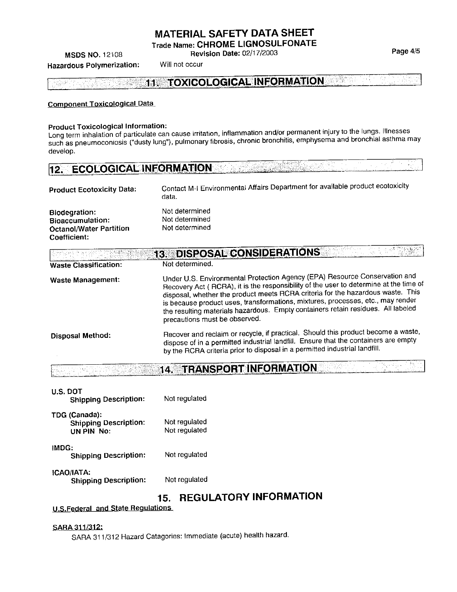Trade Name: CHROME LIGNOSULFONATE

**Revision Date: 02/17/2003** 

**MSDS NO. 12108** Hazardous Polymerization:

Will not occur

**Contract Contract** 

i je postala s

820

 $\pm 1$ 

11. TOXICOLOGICAL INFORMATION 爆弹性因

#### **Component Toxicological Data**

### **Product Toxicological Information:**

Long term inhalation of particulate can cause irritation, inflammation and/or permanent injury to the lungs. Illnesses such as pneumoconiosis ("dusty lung"), pulmonary fibrosis, chronic bronchitis, emphysema and bronchial asthma may develop.

| 12. ECOLOGICAL INFORMATION |  |  |
|----------------------------|--|--|
|                            |  |  |

| <b>Product Ecotoxicity Data:</b>                                                           | Contact M-I Environmental Affairs Department for available product ecotoxicity<br>data. |
|--------------------------------------------------------------------------------------------|-----------------------------------------------------------------------------------------|
| Biodegration:<br><b>Bioaccumulation:</b><br><b>Octanol/Water Partition</b><br>Coefficient: | Not determined<br>Not determined<br>Not determined                                      |

|                              | <b>DISPOSAL CONSIDERATIONS</b><br>13.                                                                                                                                                                                                                                                                                                                                                                                                                          |
|------------------------------|----------------------------------------------------------------------------------------------------------------------------------------------------------------------------------------------------------------------------------------------------------------------------------------------------------------------------------------------------------------------------------------------------------------------------------------------------------------|
| <b>Waste Classification:</b> | Not determined.                                                                                                                                                                                                                                                                                                                                                                                                                                                |
| Waste Management:            | Under U.S. Environmental Protection Agency (EPA) Resource Conservation and<br>Recovery Act (RCRA), it is the responsibility of the user to determine at the time of<br>disposal, whether the product meets RCRA criteria for the hazardous waste. This<br>is because product uses, transformations, mixtures, processes, etc., may render<br>the resulting materials hazardous. Empty containers retain residues. All labeled<br>precautions must be observed. |
| <b>Disposal Method:</b>      | Recover and reclaim or recycle, if practical. Should this product become a waste,<br>dispose of in a permitted industrial landfill. Ensure that the containers are empty<br>by the RCRA criteria prior to disposal in a permitted industrial landfill.                                                                                                                                                                                                         |

14. TRANSPORT INFORMATION da Nisa ha j

| U.S. DOT<br><b>Shipping Description:</b>                    | Not regulated                  |
|-------------------------------------------------------------|--------------------------------|
| TDG (Canada):<br><b>Shipping Description:</b><br>UN PIN No: | Not requlated<br>Not regulated |
| IMDG:<br><b>Shipping Description:</b>                       | Not regulated                  |
| ICAO/IATA:<br><b>Shipping Description:</b>                  | Not regulated                  |

# 15. REGULATORY INFORMATION

### **U.S.Federal and State Regulations**

#### SARA 311/312:

SARA 311/312 Hazard Catagories: Immediate (acute) health hazard.